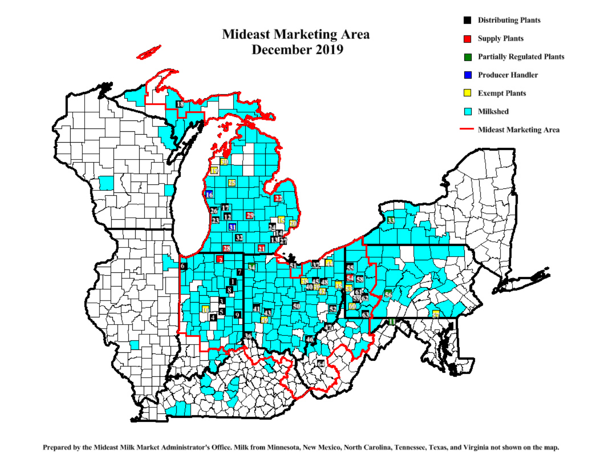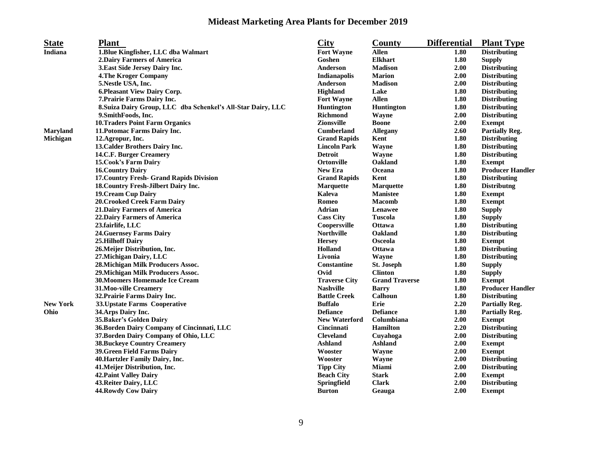## **Mideast Marketing Area Plants for December 2019**

| <b>State</b>    | <b>Plant</b>                                                 | <b>City</b>          | County                | <b>Differential</b> | <b>Plant Type</b>       |
|-----------------|--------------------------------------------------------------|----------------------|-----------------------|---------------------|-------------------------|
| Indiana         | 1. Blue Kingfisher, LLC dba Walmart                          | <b>Fort Wayne</b>    | <b>Allen</b>          | 1.80                | <b>Distributing</b>     |
|                 | 2. Dairy Farmers of America                                  | Goshen               | <b>Elkhart</b>        | 1.80                | <b>Supply</b>           |
|                 | 3. East Side Jersey Dairy Inc.                               | Anderson             | <b>Madison</b>        | 2.00                | <b>Distributing</b>     |
|                 | <b>4.The Kroger Company</b>                                  | Indianapolis         | <b>Marion</b>         | 2.00                | <b>Distributing</b>     |
|                 | 5. Nestle USA, Inc.                                          | Anderson             | <b>Madison</b>        | 2.00                | <b>Distributing</b>     |
|                 | 6. Pleasant View Dairy Corp.                                 | <b>Highland</b>      | Lake                  | 1.80                | <b>Distributing</b>     |
|                 | 7. Prairie Farms Dairy Inc.                                  | <b>Fort Wayne</b>    | <b>Allen</b>          | 1.80                | <b>Distributing</b>     |
|                 | 8. Suiza Dairy Group, LLC dba Schenkel's All-Star Dairy, LLC | <b>Huntington</b>    | <b>Huntington</b>     | 1.80                | <b>Distributing</b>     |
|                 | 9. SmithFoods, Inc.                                          | <b>Richmond</b>      | Wayne                 | 2.00                | <b>Distributing</b>     |
|                 | <b>10. Traders Point Farm Organics</b>                       | <b>Zionsville</b>    | <b>Boone</b>          | 2.00                | <b>Exempt</b>           |
| <b>Maryland</b> | 11. Potomac Farms Dairy Inc.                                 | <b>Cumberland</b>    | <b>Allegany</b>       | 2.60                | <b>Partially Reg.</b>   |
| Michigan        | 12. Agropur, Inc.                                            | <b>Grand Rapids</b>  | Kent                  | 1.80                | <b>Distributing</b>     |
|                 | 13. Calder Brothers Dairy Inc.                               | <b>Lincoln Park</b>  | Wayne                 | 1.80                | <b>Distributing</b>     |
|                 | 14.C.F. Burger Creamery                                      | <b>Detroit</b>       | Wayne                 | 1.80                | <b>Distributing</b>     |
|                 | <b>15. Cook's Farm Dairy</b>                                 | <b>Ortonville</b>    | Oakland               | 1.80                | <b>Exempt</b>           |
|                 | <b>16. Country Dairy</b>                                     | <b>New Era</b>       | Oceana                | 1.80                | <b>Producer Handler</b> |
|                 | 17. Country Fresh- Grand Rapids Division                     | <b>Grand Rapids</b>  | Kent                  | 1.80                | <b>Distributing</b>     |
|                 | 18. Country Fresh-Jilbert Dairy Inc.                         | <b>Marquette</b>     | <b>Marquette</b>      | 1.80                | <b>Distributng</b>      |
|                 | <b>19. Cream Cup Dairy</b>                                   | Kaleva               | <b>Manistee</b>       | 1.80                | <b>Exempt</b>           |
|                 | 20. Crooked Creek Farm Dairy                                 | Romeo                | <b>Macomb</b>         | 1.80                | <b>Exempt</b>           |
|                 | <b>21.Dairy Farmers of America</b>                           | <b>Adrian</b>        | Lenawee               | 1.80                | <b>Supply</b>           |
|                 | 22. Dairy Farmers of America                                 | <b>Cass City</b>     | Tuscola               | 1.80                | <b>Supply</b>           |
|                 | 23.fairlife, LLC                                             | Coopersville         | <b>Ottawa</b>         | 1.80                | <b>Distributing</b>     |
|                 | <b>24. Guernsey Farms Dairy</b>                              | <b>Northville</b>    | Oakland               | 1.80                | <b>Distributing</b>     |
|                 | <b>25.Hilhoff Dairy</b>                                      | <b>Hersey</b>        | Osceola               | 1.80                | <b>Exempt</b>           |
|                 | 26. Meijer Distribution, Inc.                                | Holland              | <b>Ottawa</b>         | 1.80                | <b>Distributing</b>     |
|                 | 27. Michigan Dairy, LLC                                      | Livonia              | Wayne                 | 1.80                | <b>Distributing</b>     |
|                 | 28. Michigan Milk Producers Assoc.                           | Constantine          | St. Joseph            | 1.80                | <b>Supply</b>           |
|                 | 29. Michigan Milk Producers Assoc.                           | Ovid                 | <b>Clinton</b>        | 1.80                | <b>Supply</b>           |
|                 | 30. Moomers Homemade Ice Cream                               | <b>Traverse City</b> | <b>Grand Traverse</b> | 1.80                | <b>Exempt</b>           |
|                 | 31. Moo-ville Creamery                                       | <b>Nashville</b>     | <b>Barry</b>          | 1.80                | <b>Producer Handler</b> |
|                 | 32. Prairie Farms Dairy Inc.                                 | <b>Battle Creek</b>  | <b>Calhoun</b>        | 1.80                | <b>Distributing</b>     |
| <b>New York</b> | 33. Upstate Farms Cooperative                                | <b>Buffalo</b>       | Erie                  | 2.20                | <b>Partially Reg.</b>   |
| Ohio            | 34. Arps Dairy Inc.                                          | <b>Defiance</b>      | <b>Defiance</b>       | 1.80                | <b>Partially Reg.</b>   |
|                 | 35. Baker's Golden Dairy                                     | <b>New Waterford</b> | Columbiana            | 2.00                | <b>Exempt</b>           |
|                 | 36. Borden Dairy Company of Cincinnati, LLC                  | <b>Cincinnati</b>    | <b>Hamilton</b>       | 2.20                | <b>Distributing</b>     |
|                 | 37. Borden Dairy Company of Ohio, LLC                        | <b>Cleveland</b>     | Cuyahoga              | 2.00                | <b>Distributing</b>     |
|                 | <b>38. Buckeye Country Creamery</b>                          | <b>Ashland</b>       | <b>Ashland</b>        | 2.00                | <b>Exempt</b>           |
|                 | <b>39. Green Field Farms Dairy</b>                           | Wooster              | Wayne                 | 2.00                | <b>Exempt</b>           |
|                 | 40. Hartzler Family Dairy, Inc.                              | Wooster              | Wayne                 | 2.00                | <b>Distributing</b>     |
|                 | 41. Meijer Distribution, Inc.                                | <b>Tipp City</b>     | Miami                 | 2.00                | <b>Distributing</b>     |
|                 | <b>42. Paint Valley Dairy</b>                                | <b>Beach City</b>    | <b>Stark</b>          | 2.00                | <b>Exempt</b>           |
|                 | 43. Reiter Dairy, LLC                                        | <b>Springfield</b>   | <b>Clark</b>          | 2.00                | <b>Distributing</b>     |
|                 | 44. Rowdy Cow Dairy                                          | <b>Burton</b>        | Geauga                | 2.00                | <b>Exempt</b>           |